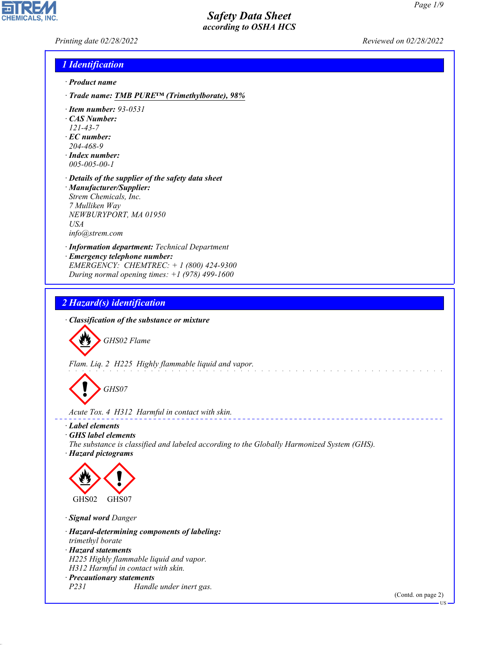*Printing date 02/28/2022 Reviewed on 02/28/2022*

**CHEMICALS.** 

#### *1 Identification*

- *· Product name*
- *· Trade name: TMB PURE™ (Trimethylborate), 98%*
- *· Item number: 93-0531*
- *· CAS Number:*
- *121-43-7*
- *· EC number: 204-468-9*
- *· Index number: 005-005-00-1*
- *· Details of the supplier of the safety data sheet · Manufacturer/Supplier: Strem Chemicals, Inc. 7 Mulliken Way NEWBURYPORT, MA 01950 USA info@strem.com*
- *· Information department: Technical Department · Emergency telephone number: EMERGENCY: CHEMTREC: + 1 (800) 424-9300 During normal opening times: +1 (978) 499-1600*

## *2 Hazard(s) identification*

*· Classification of the substance or mixture*



*Flam. Liq. 2 H225 Highly flammable liquid and vapor.*

d~*GHS07*

*Acute Tox. 4 H312 Harmful in contact with skin.*

#### *· Label elements*

- *· GHS label elements*
- *The substance is classified and labeled according to the Globally Harmonized System (GHS). · Hazard pictograms*



*· Signal word Danger*

44.1.1

*· Hazard-determining components of labeling: trimethyl borate · Hazard statements H225 Highly flammable liquid and vapor. H312 Harmful in contact with skin.*

*· Precautionary statements P231 Handle under inert gas.*

(Contd. on page 2)

US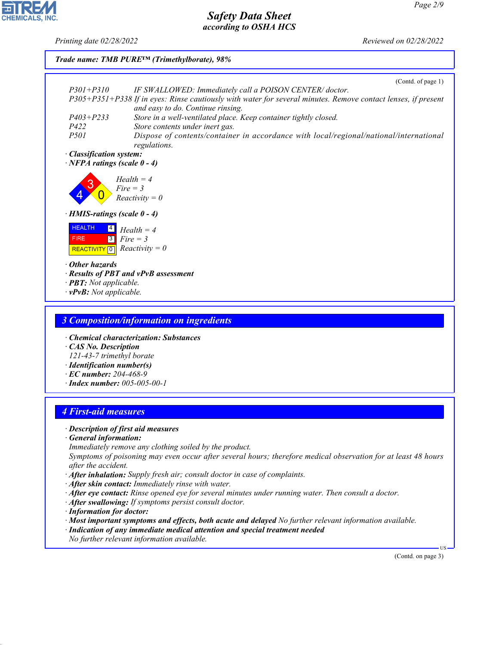**CHEMICALS, INC** 

*Printing date 02/28/2022 Reviewed on 02/28/2022*



- *· After skin contact: Immediately rinse with water.*
- *· After eye contact: Rinse opened eye for several minutes under running water. Then consult a doctor.*
- *· After swallowing: If symptoms persist consult doctor.*
- *· Information for doctor:*

44.1.1

- *· Most important symptoms and effects, both acute and delayed No further relevant information available.*
- *· Indication of any immediate medical attention and special treatment needed*
- *No further relevant information available.*

(Contd. on page 3)

US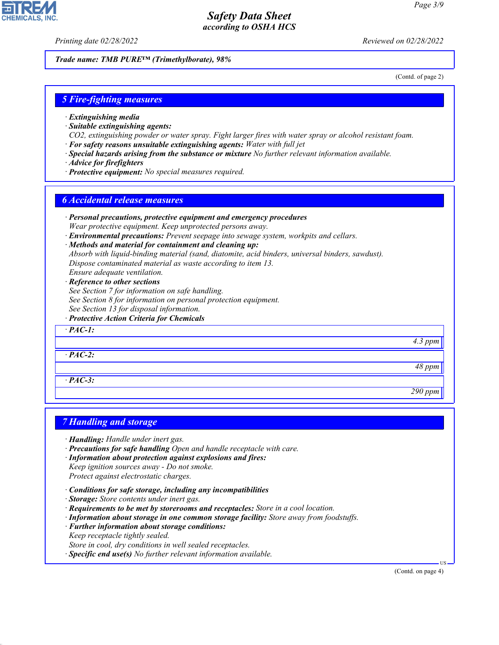*Printing date 02/28/2022 Reviewed on 02/28/2022*

*Trade name: TMB PURE™ (Trimethylborate), 98%*

(Contd. of page 2)

#### *5 Fire-fighting measures*

- *· Extinguishing media*
- *· Suitable extinguishing agents:*
- *CO2, extinguishing powder or water spray. Fight larger fires with water spray or alcohol resistant foam.*
- *· For safety reasons unsuitable extinguishing agents: Water with full jet*
- *· Special hazards arising from the substance or mixture No further relevant information available.*
- *· Advice for firefighters*
- *· Protective equipment: No special measures required.*

#### *6 Accidental release measures*

- *· Personal precautions, protective equipment and emergency procedures Wear protective equipment. Keep unprotected persons away.*
- *· Environmental precautions: Prevent seepage into sewage system, workpits and cellars.*
- *· Methods and material for containment and cleaning up: Absorb with liquid-binding material (sand, diatomite, acid binders, universal binders, sawdust). Dispose contaminated material as waste according to item 13. Ensure adequate ventilation.*
- *· Reference to other sections*
- *See Section 7 for information on safe handling. See Section 8 for information on personal protection equipment. See Section 13 for disposal information.*
- *· Protective Action Criteria for Chemicals*

*· PAC-1:*

*· PAC-2:*

*· PAC-3:*

#### *7 Handling and storage*

- *· Handling: Handle under inert gas.*
- *· Precautions for safe handling Open and handle receptacle with care.*
- *· Information about protection against explosions and fires: Keep ignition sources away - Do not smoke. Protect against electrostatic charges.*
- *· Conditions for safe storage, including any incompatibilities*
- *· Storage: Store contents under inert gas.*
- *· Requirements to be met by storerooms and receptacles: Store in a cool location.*
- *· Information about storage in one common storage facility: Store away from foodstuffs.*
- *· Further information about storage conditions:*
- *Keep receptacle tightly sealed.*
- *Store in cool, dry conditions in well sealed receptacles.*
- *· Specific end use(s) No further relevant information available.*

(Contd. on page 4)

US



44.1.1

*48 ppm*

*4.3 ppm*

*290 ppm*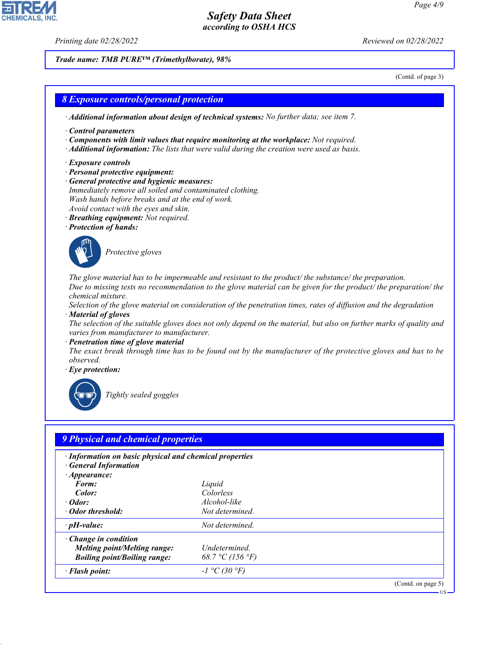44.1.1

*Printing date 02/28/2022 Reviewed on 02/28/2022*

*Trade name: TMB PURE™ (Trimethylborate), 98%*

(Contd. of page 3)

# *8 Exposure controls/personal protection · Additional information about design of technical systems: No further data; see item 7. · Control parameters · Components with limit values that require monitoring at the workplace: Not required. · Additional information: The lists that were valid during the creation were used as basis. · Exposure controls · Personal protective equipment: · General protective and hygienic measures: Immediately remove all soiled and contaminated clothing. Wash hands before breaks and at the end of work. Avoid contact with the eyes and skin. · Breathing equipment: Not required. · Protection of hands:* \_S*Protective gloves The glove material has to be impermeable and resistant to the product/ the substance/ the preparation. Due to missing tests no recommendation to the glove material can be given for the product/ the preparation/ the chemical mixture. Selection of the glove material on consideration of the penetration times, rates of diffusion and the degradation · Material of gloves The selection of the suitable gloves does not only depend on the material, but also on further marks of quality and varies from manufacturer to manufacturer. · Penetration time of glove material The exact break through time has to be found out by the manufacturer of the protective gloves and has to be observed. · Eye protection:* \_R*Tightly sealed goggles 9 Physical and chemical properties · Information on basic physical and chemical properties · General Information · Appearance:*

| Form:                               | Liquid           |                    |
|-------------------------------------|------------------|--------------------|
| Color:                              | Colorless        |                    |
| $\cdot$ Odor:                       | Alcohol-like     |                    |
| • Odor threshold:                   | Not determined.  |                    |
| $\cdot$ pH-value:                   | Not determined.  |                    |
| $\cdot$ Change in condition         |                  |                    |
| <b>Melting point/Melting range:</b> | Undetermined.    |                    |
| <b>Boiling point/Boiling range:</b> | 68.7 °C (156 °F) |                    |
| · Flash point:                      | $-1 °C (30 °F)$  |                    |
|                                     |                  | (Contd. on page 5) |

US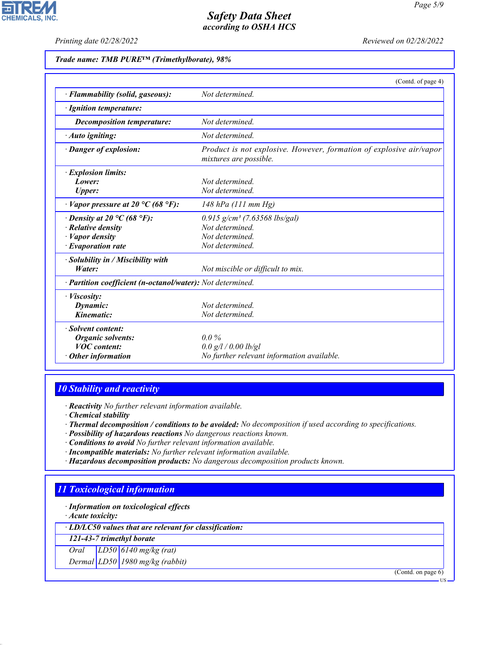**CHEMICALS, INC.** 

*Printing date 02/28/2022 Reviewed on 02/28/2022*

#### *Trade name: TMB PURE™ (Trimethylborate), 98%*

|                                                            | (Contd. of page 4)                                                                            |
|------------------------------------------------------------|-----------------------------------------------------------------------------------------------|
| · Flammability (solid, gaseous):                           | Not determined.                                                                               |
| · Ignition temperature:                                    |                                                                                               |
| Decomposition temperature:                                 | Not determined                                                                                |
| $\cdot$ Auto igniting:                                     | Not determined.                                                                               |
| · Danger of explosion:                                     | Product is not explosive. However, formation of explosive air/vapor<br>mixtures are possible. |
| · Explosion limits:                                        |                                                                                               |
| Lower:                                                     | Not determined.                                                                               |
| <b>Upper:</b>                                              | Not determined.                                                                               |
| Vapor pressure at 20 °C (68 °F):                           | $148$ hPa $(111$ mm Hg)                                                                       |
| $\cdot$ Density at 20 °C (68 °F):                          | $0.915$ g/cm <sup>3</sup> (7.63568 lbs/gal)                                                   |
| $\cdot$ Relative density                                   | Not determined.                                                                               |
| · Vapor density                                            | Not determined.                                                                               |
| $\cdot$ Evaporation rate                                   | Not determined.                                                                               |
| · Solubility in / Miscibility with                         |                                                                                               |
| Water:                                                     | Not miscible or difficult to mix.                                                             |
| · Partition coefficient (n-octanol/water): Not determined. |                                                                                               |
| · Viscosity:                                               |                                                                                               |
| Dynamic:                                                   | Not determined.                                                                               |
| Kinematic:                                                 | Not determined.                                                                               |
| · Solvent content:                                         |                                                                                               |
| <b>Organic solvents:</b>                                   | $0.0\%$                                                                                       |
| <b>VOC</b> content:                                        | $0.0$ g/l / 0.00 lb/gl                                                                        |
| <b>Other information</b>                                   | No further relevant information available.                                                    |

## *10 Stability and reactivity*

*· Reactivity No further relevant information available.*

- *· Chemical stability*
- *· Thermal decomposition / conditions to be avoided: No decomposition if used according to specifications.*
- *· Possibility of hazardous reactions No dangerous reactions known.*
- *· Conditions to avoid No further relevant information available.*
- *· Incompatible materials: No further relevant information available.*
- *· Hazardous decomposition products: No dangerous decomposition products known.*

## *11 Toxicological information*

*· Information on toxicological effects*

*· Acute toxicity:*

44.1.1

*· LD/LC50 values that are relevant for classification:*

*121-43-7 trimethyl borate*

*Oral LD50 6140 mg/kg (rat)*

*Dermal LD50 1980 mg/kg (rabbit)*

(Contd. on page 6)

US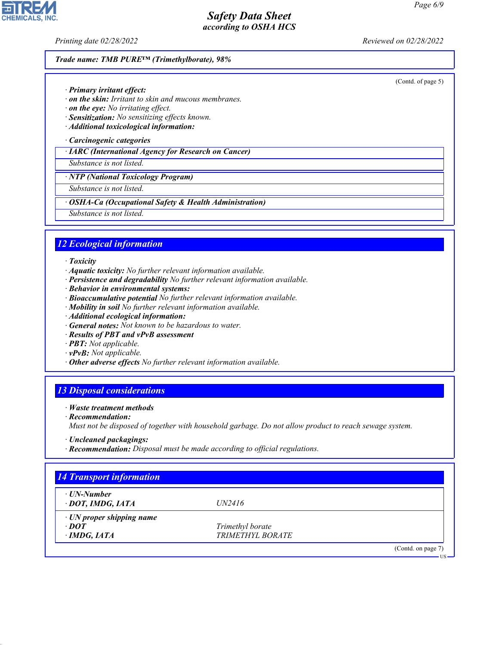(Contd. of page 5)

## *Safety Data Sheet according to OSHA HCS*

**CHEMICALS, INC.** 

*Printing date 02/28/2022 Reviewed on 02/28/2022*

#### *Trade name: TMB PURE™ (Trimethylborate), 98%*

- *· Primary irritant effect:*
- *· on the skin: Irritant to skin and mucous membranes.*
- *· on the eye: No irritating effect.*
- *· Sensitization: No sensitizing effects known.*
- *· Additional toxicological information:*
- *· Carcinogenic categories*
- *· IARC (International Agency for Research on Cancer)*

#### *Substance is not listed.*

*· NTP (National Toxicology Program)*

*Substance is not listed.*

- *· OSHA-Ca (Occupational Safety & Health Administration)*
- *Substance is not listed.*

## *12 Ecological information*

- *· Toxicity*
- *· Aquatic toxicity: No further relevant information available.*
- *· Persistence and degradability No further relevant information available.*
- *· Behavior in environmental systems:*
- *· Bioaccumulative potential No further relevant information available.*
- *· Mobility in soil No further relevant information available.*
- *· Additional ecological information:*
- *· General notes: Not known to be hazardous to water.*
- *· Results of PBT and vPvB assessment*
- *· PBT: Not applicable.*
- *· vPvB: Not applicable.*
- *· Other adverse effects No further relevant information available.*

#### *13 Disposal considerations*

- *· Waste treatment methods*
- *· Recommendation:*

44.1.1

*Must not be disposed of together with household garbage. Do not allow product to reach sewage system.*

- *· Uncleaned packagings:*
- *· Recommendation: Disposal must be made according to official regulations.*

| $\cdot$ UN-Number         |                  |  |
|---------------------------|------------------|--|
| · DOT, IMDG, IATA         | UN2416           |  |
| · UN proper shipping name |                  |  |
| $\cdot$ DOT               | Trimethyl borate |  |
| $\cdot$ IMDG, IATA        | TRIMETHYL BORATE |  |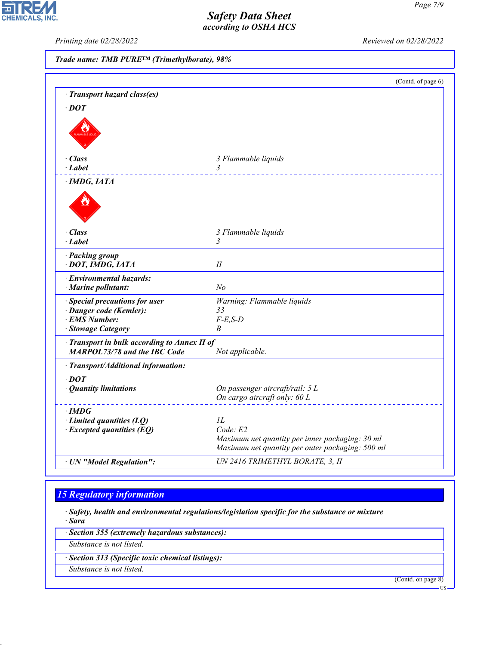oir **CHEMICALS, INC.** 

*Printing date 02/28/2022 Reviewed on 02/28/2022*

|                                                                                   |                                                                                                     | (Contd. of page 6) |
|-----------------------------------------------------------------------------------|-----------------------------------------------------------------------------------------------------|--------------------|
| · Transport hazard class(es)                                                      |                                                                                                     |                    |
| $\cdot$ DOT                                                                       |                                                                                                     |                    |
|                                                                                   |                                                                                                     |                    |
|                                                                                   |                                                                                                     |                    |
|                                                                                   |                                                                                                     |                    |
|                                                                                   |                                                                                                     |                    |
| · Class<br>· Label                                                                | 3 Flammable liquids<br>3                                                                            |                    |
|                                                                                   |                                                                                                     |                    |
| · IMDG, IATA                                                                      |                                                                                                     |                    |
|                                                                                   |                                                                                                     |                    |
|                                                                                   |                                                                                                     |                    |
|                                                                                   |                                                                                                     |                    |
| · Class                                                                           | 3 Flammable liquids                                                                                 |                    |
| · Label                                                                           | 3                                                                                                   |                    |
| · Packing group                                                                   |                                                                                                     |                    |
| · DOT, IMDG, IATA                                                                 | П                                                                                                   |                    |
| · Environmental hazards:                                                          |                                                                                                     |                    |
| · Marine pollutant:                                                               | No                                                                                                  |                    |
| Special precautions for user                                                      | Warning: Flammable liquids                                                                          |                    |
| · Danger code (Kemler):                                                           | 33                                                                                                  |                    |
| · EMS Number:                                                                     | $F-E,S-D$                                                                                           |                    |
| · Stowage Category                                                                | B                                                                                                   |                    |
| Transport in bulk according to Annex II of<br><b>MARPOL73/78 and the IBC Code</b> |                                                                                                     |                    |
|                                                                                   | Not applicable.                                                                                     |                    |
| · Transport/Additional information:                                               |                                                                                                     |                    |
| $\cdot$ DOT                                                                       |                                                                                                     |                    |
| · Quantity limitations                                                            | On passenger aircraft/rail: 5 L                                                                     |                    |
|                                                                                   | On cargo aircraft only: 60 L                                                                        |                    |
| $\cdot$ IMDG                                                                      |                                                                                                     |                    |
| $\cdot$ Limited quantities (LQ)                                                   | IL                                                                                                  |                    |
| $\cdot$ Excepted quantities (EQ)                                                  | Code: E2                                                                                            |                    |
|                                                                                   | Maximum net quantity per inner packaging: 30 ml<br>Maximum net quantity per outer packaging: 500 ml |                    |
| · UN "Model Regulation":                                                          | UN 2416 TRIMETHYL BORATE, 3, II                                                                     |                    |

## *15 Regulatory information*

*· Safety, health and environmental regulations/legislation specific for the substance or mixture · Sara*

*· Section 355 (extremely hazardous substances):*

*Substance is not listed.*

*· Section 313 (Specific toxic chemical listings):*

*Substance is not listed.*

44.1.1

(Contd. on page 8)

US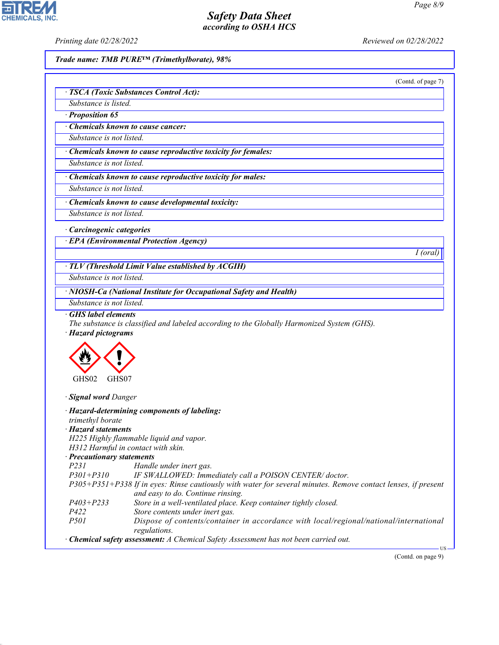of page 7)

## *Safety Data Sheet according to OSHA HCS*

**CHEMICALS, INC.** 

*Printing date 02/28/2022 Reviewed on 02/28/2022*

*Trade name: TMB PURE™ (Trimethylborate), 98%*

|                                        | (Contd. |
|----------------------------------------|---------|
| · TSCA (Toxic Substances Control Act): |         |
| Substance is listed.                   |         |
| $\cdot$ Proposition 65                 |         |

*· Chemicals known to cause cancer:*

*Substance is not listed.*

*· Chemicals known to cause reproductive toxicity for females:*

*Substance is not listed.*

*· Chemicals known to cause reproductive toxicity for males:*

*Substance is not listed.*

*· Chemicals known to cause developmental toxicity:*

*Substance is not listed.*

*· Carcinogenic categories*

*· EPA (Environmental Protection Agency)*

*I (oral)*

*· TLV (Threshold Limit Value established by ACGIH)*

*Substance is not listed.*

*· NIOSH-Ca (National Institute for Occupational Safety and Health)*

*Substance is not listed.*

*· GHS label elements*

*The substance is classified and labeled according to the Globally Harmonized System (GHS). · Hazard pictograms*



*· Signal word Danger*

44.1.1

| trimethyl borate                                                                     | $\cdot$ Hazard-determining components of labeling:                                                                                                 |  |
|--------------------------------------------------------------------------------------|----------------------------------------------------------------------------------------------------------------------------------------------------|--|
| $\cdot$ Hazard statements                                                            |                                                                                                                                                    |  |
|                                                                                      | H225 Highly flammable liquid and vapor.                                                                                                            |  |
| H312 Harmful in contact with skin.                                                   |                                                                                                                                                    |  |
| · Precautionary statements                                                           |                                                                                                                                                    |  |
| <i>P231</i>                                                                          | Handle under inert gas.                                                                                                                            |  |
|                                                                                      | P301+P310 IF SWALLOWED: Immediately call a POISON CENTER/doctor.                                                                                   |  |
|                                                                                      | P305+P351+P338 If in eyes: Rinse cautiously with water for several minutes. Remove contact lenses, if present<br>and easy to do. Continue rinsing. |  |
| $P403 + P233$                                                                        | Store in a well-ventilated place. Keep container tightly closed.                                                                                   |  |
| <i>P422</i>                                                                          | Store contents under inert gas.                                                                                                                    |  |
| <i>P501</i>                                                                          | Dispose of contents/container in accordance with local/regional/national/international<br>regulations.                                             |  |
| · Chemical safety assessment: A Chemical Safety Assessment has not been carried out. |                                                                                                                                                    |  |

(Contd. on page 9)